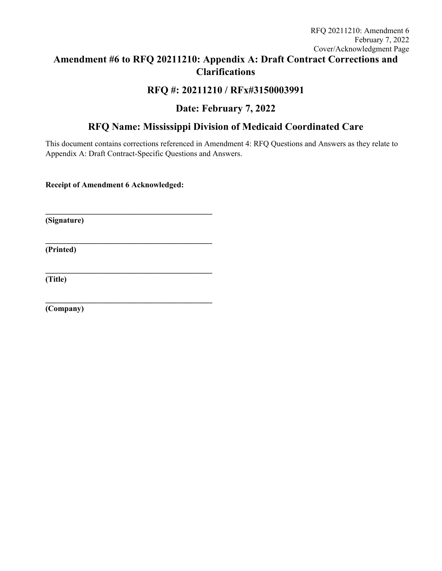# **Amendment #6 to RFQ 20211210: Appendix A: Draft Contract Corrections and Clarifications**

## **RFQ #: 20211210 / RFx#3150003991**

# **Date: February 7, 2022**

## **RFQ Name: Mississippi Division of Medicaid Coordinated Care**

This document contains corrections referenced in Amendment 4: RFQ Questions and Answers as they relate to Appendix A: Draft Contract-Specific Questions and Answers.

**Receipt of Amendment 6 Acknowledged:** 

**\_\_\_\_\_\_\_\_\_\_\_\_\_\_\_\_\_\_\_\_\_\_\_\_\_\_\_\_\_\_\_\_\_\_\_\_\_\_\_\_\_\_** 

**\_\_\_\_\_\_\_\_\_\_\_\_\_\_\_\_\_\_\_\_\_\_\_\_\_\_\_\_\_\_\_\_\_\_\_\_\_\_\_\_\_\_** 

**\_\_\_\_\_\_\_\_\_\_\_\_\_\_\_\_\_\_\_\_\_\_\_\_\_\_\_\_\_\_\_\_\_\_\_\_\_\_\_\_\_\_** 

**\_\_\_\_\_\_\_\_\_\_\_\_\_\_\_\_\_\_\_\_\_\_\_\_\_\_\_\_\_\_\_\_\_\_\_\_\_\_\_\_\_\_** 

**(Signature)** 

**(Printed)** 

**(Title)** 

**(Company)**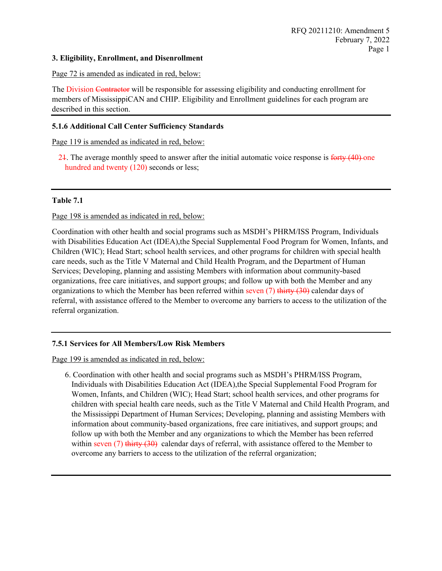### **3. Eligibility, Enrollment, and Disenrollment**

### Page 72 is amended as indicated in red, below:

The Division Contractor will be responsible for assessing eligibility and conducting enrollment for members of MississippiCAN and CHIP. Eligibility and Enrollment guidelines for each program are described in this section.

### **5.1.6 Additional Call Center Sufficiency Standards**

Page 119 is amended as indicated in red, below:

21. The average monthly speed to answer after the initial automatic voice response is forty (40) one hundred and twenty (120) seconds or less;

#### **Table 7.1**

Page 198 is amended as indicated in red, below:

Coordination with other health and social programs such as MSDH's PHRM/ISS Program, Individuals with Disabilities Education Act (IDEA), the Special Supplemental Food Program for Women, Infants, and Children (WIC); Head Start; school health services, and other programs for children with special health care needs, such as the Title V Maternal and Child Health Program, and the Department of Human Services; Developing, planning and assisting Members with information about community-based organizations, free care initiatives, and support groups; and follow up with both the Member and any organizations to which the Member has been referred within seven  $(7)$  thirty  $(30)$  calendar days of referral, with assistance offered to the Member to overcome any barriers to access to the utilization of the referral organization.

### **7.5.1 Services for All Members/Low Risk Members**

Page 199 is amended as indicated in red, below:

6. Coordination with other health and social programs such as MSDH's PHRM/ISS Program, Individuals with Disabilities Education Act (IDEA),the Special Supplemental Food Program for Women, Infants, and Children (WIC); Head Start; school health services, and other programs for children with special health care needs, such as the Title V Maternal and Child Health Program, and the Mississippi Department of Human Services; Developing, planning and assisting Members with information about community-based organizations, free care initiatives, and support groups; and follow up with both the Member and any organizations to which the Member has been referred within seven  $(7)$  thirty  $(30)$  calendar days of referral, with assistance offerred to the Member to overcome any barriers to access to the utilization of the referral organization;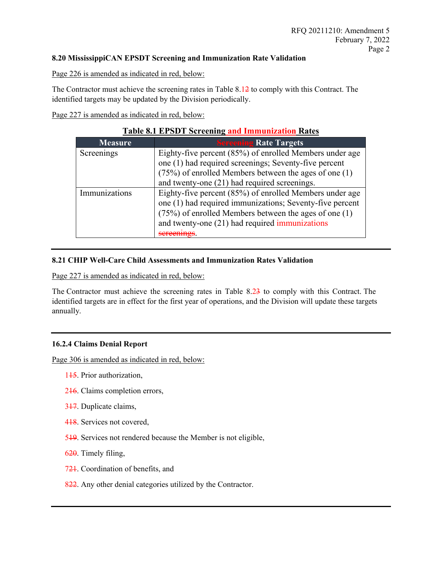## **8.20 MississippiCAN EPSDT Screening and Immunization Rate Validation**

Page 226 is amended as indicated in red, below:

The Contractor must achieve the screening rates in Table 8.12 to comply with this Contract. The identified targets may be updated by the Division periodically.

Page 227 is amended as indicated in red, below:

| Table 0.1 ET SD I SUI Cening and Immunization Kates |                                                           |  |  |  |  |  |
|-----------------------------------------------------|-----------------------------------------------------------|--|--|--|--|--|
| <b>Measure</b>                                      | <b>Sereening Rate Targets</b>                             |  |  |  |  |  |
| Screenings                                          | Eighty-five percent (85%) of enrolled Members under age   |  |  |  |  |  |
|                                                     | one (1) had required screenings; Seventy-five percent     |  |  |  |  |  |
|                                                     | $(75%)$ of enrolled Members between the ages of one $(1)$ |  |  |  |  |  |
|                                                     | and twenty-one (21) had required screenings.              |  |  |  |  |  |
| Immunizations                                       | Eighty-five percent (85%) of enrolled Members under age   |  |  |  |  |  |
|                                                     | one (1) had required immunizations; Seventy-five percent  |  |  |  |  |  |
|                                                     | $(75%)$ of enrolled Members between the ages of one $(1)$ |  |  |  |  |  |
|                                                     | and twenty-one (21) had required immunizations            |  |  |  |  |  |
|                                                     |                                                           |  |  |  |  |  |

## **Table 8.1 EPSDT Screening and Immunization Rates**

## **8.21 CHIP Well-Care Child Assessments and Immunization Rates Validation**

Page 227 is amended as indicated in red, below:

The Contractor must achieve the screening rates in Table 8.23 to comply with this Contract. The identified targets are in effect for the first year of operations, and the Division will update these targets annually.

## **16.2.4 Claims Denial Report**

Page 306 is amended as indicated in red, below:

- 1<del>15</del>. Prior authorization,
- 216. Claims completion errors,
- 317. Duplicate claims,
- 418. Services not covered,
- 519. Services not rendered because the Member is not eligible,
- 620. Timely filing,
- 721. Coordination of benefits, and
- 822. Any other denial categories utilized by the Contractor.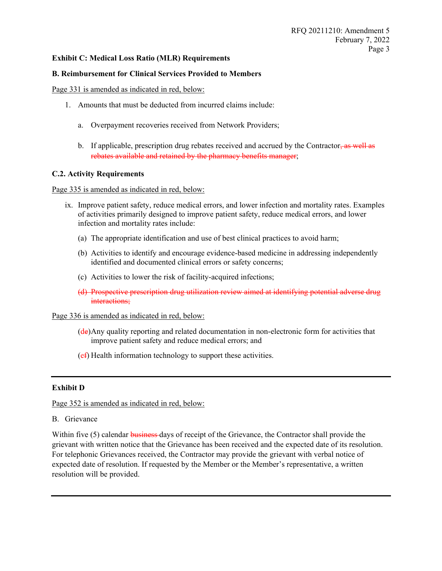## **Exhibit C: Medical Loss Ratio (MLR) Requirements**

## **B. Reimbursement for Clinical Services Provided to Members**

Page 331 is amended as indicated in red, below:

- 1. Amounts that must be deducted from incurred claims include:
	- a. Overpayment recoveries received from Network Providers;
	- b. If applicable, prescription drug rebates received and accrued by the Contractor $\frac{1}{2}$  as well as rebates available and retained by the pharmacy benefits manager;

#### **C.2. Activity Requirements**

Page 335 is amended as indicated in red, below:

- ix. Improve patient safety, reduce medical errors, and lower infection and mortality rates. Examples of activities primarily designed to improve patient safety, reduce medical errors, and lower infection and mortality rates include:
	- (a) The appropriate identification and use of best clinical practices to avoid harm;
	- (b) Activities to identify and encourage evidence-based medicine in addressing independently identified and documented clinical errors or safety concerns;
	- (c) Activities to lower the risk of facility-acquired infections;
	- (d) Prospective prescription drug utilization review aimed at identifying potential adverse drug interactions;

#### Page 336 is amended as indicated in red, below:

- (de)Any quality reporting and related documentation in non-electronic form for activities that improve patient safety and reduce medical errors; and
- $(e<sub>f</sub>)$  Health information technology to support these activities.

#### **Exhibit D**

Page 352 is amended as indicated in red, below:

B. Grievance

Within five (5) calendar business days of receipt of the Grievance, the Contractor shall provide the grievant with written notice that the Grievance has been received and the expected date of its resolution. For telephonic Grievances received, the Contractor may provide the grievant with verbal notice of expected date of resolution. If requested by the Member or the Member's representative, a written resolution will be provided.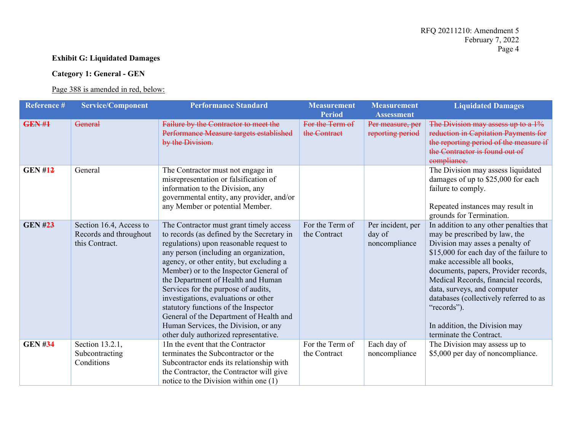## **Exhibit G: Liquidated Damages**

## **Category 1: General - GEN**

## Page 388 is amended in red, below:

| Reference #    | <b>Service/Component</b> | <b>Performance Standard</b>                  | <b>Measurement</b> | <b>Measurement</b> | <b>Liquidated Damages</b>               |
|----------------|--------------------------|----------------------------------------------|--------------------|--------------------|-----------------------------------------|
|                |                          |                                              | <b>Period</b>      | <b>Assessment</b>  |                                         |
| <b>GEN#1</b>   | <del>General</del>       | <b>Failure by the Contractor to meet the</b> | For the Term of    | Per measure, per   | The Division may assess up to a 1%      |
|                |                          | Performance Measure targets established      | the Contract       | reporting period   | reduction in Capitation Payments for    |
|                |                          | by the Division.                             |                    |                    | the reporting period of the measure if  |
|                |                          |                                              |                    |                    | the Contractor is found out of          |
|                |                          |                                              |                    |                    | compliance.                             |
| <b>GEN #12</b> | General                  | The Contractor must not engage in            |                    |                    | The Division may assess liquidated      |
|                |                          | misrepresentation or falsification of        |                    |                    | damages of up to \$25,000 for each      |
|                |                          | information to the Division, any             |                    |                    | failure to comply.                      |
|                |                          | governmental entity, any provider, and/or    |                    |                    |                                         |
|                |                          | any Member or potential Member.              |                    |                    | Repeated instances may result in        |
|                |                          |                                              |                    |                    | grounds for Termination.                |
| <b>GEN #23</b> | Section 16.4, Access to  | The Contractor must grant timely access      | For the Term of    | Per incident, per  | In addition to any other penalties that |
|                | Records and throughout   | to records (as defined by the Secretary in   | the Contract       | day of             | may be prescribed by law, the           |
|                | this Contract.           | regulations) upon reasonable request to      |                    | noncompliance      | Division may asses a penalty of         |
|                |                          | any person (including an organization,       |                    |                    | \$15,000 for each day of the failure to |
|                |                          | agency, or other entity, but excluding a     |                    |                    | make accessible all books,              |
|                |                          | Member) or to the Inspector General of       |                    |                    | documents, papers, Provider records,    |
|                |                          | the Department of Health and Human           |                    |                    | Medical Records, financial records,     |
|                |                          | Services for the purpose of audits,          |                    |                    | data, surveys, and computer             |
|                |                          | investigations, evaluations or other         |                    |                    | databases (collectively referred to as  |
|                |                          | statutory functions of the Inspector         |                    |                    | "records").                             |
|                |                          | General of the Department of Health and      |                    |                    |                                         |
|                |                          | Human Services, the Division, or any         |                    |                    | In addition, the Division may           |
|                |                          | other duly authorized representative.        |                    |                    | terminate the Contract.                 |
| <b>GEN #34</b> | Section 13.2.1,          | 1In the event that the Contractor            | For the Term of    | Each day of        | The Division may assess up to           |
|                | Subcontracting           | terminates the Subcontractor or the          | the Contract       | noncompliance      | \$5,000 per day of noncompliance.       |
|                | Conditions               | Subcontractor ends its relationship with     |                    |                    |                                         |
|                |                          |                                              |                    |                    |                                         |
|                |                          | the Contractor, the Contractor will give     |                    |                    |                                         |
|                |                          | notice to the Division within one (1)        |                    |                    |                                         |